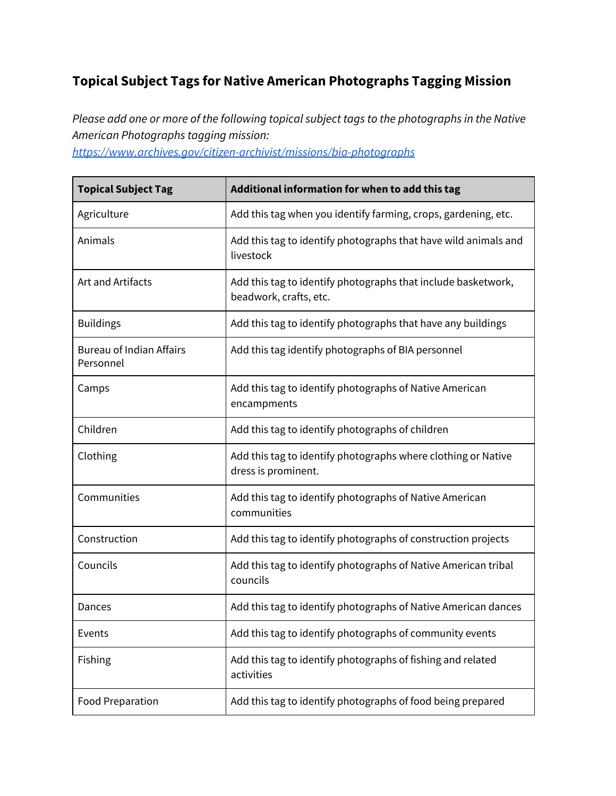## **Topical Subject Tags for Native American Photographs Tagging Mission**

*Please add one or more of the following topical subject tags to the photographs in the Native American Photographs tagging mission:*

*<https://www.archives.gov/citizen-archivist/missions/bia-photographs>*

| <b>Topical Subject Tag</b>                   | Additional information for when to add this tag                                         |
|----------------------------------------------|-----------------------------------------------------------------------------------------|
| Agriculture                                  | Add this tag when you identify farming, crops, gardening, etc.                          |
| Animals                                      | Add this tag to identify photographs that have wild animals and<br>livestock            |
| Art and Artifacts                            | Add this tag to identify photographs that include basketwork,<br>beadwork, crafts, etc. |
| <b>Buildings</b>                             | Add this tag to identify photographs that have any buildings                            |
| <b>Bureau of Indian Affairs</b><br>Personnel | Add this tag identify photographs of BIA personnel                                      |
| Camps                                        | Add this tag to identify photographs of Native American<br>encampments                  |
| Children                                     | Add this tag to identify photographs of children                                        |
| Clothing                                     | Add this tag to identify photographs where clothing or Native<br>dress is prominent.    |
| Communities                                  | Add this tag to identify photographs of Native American<br>communities                  |
| Construction                                 | Add this tag to identify photographs of construction projects                           |
| Councils                                     | Add this tag to identify photographs of Native American tribal<br>councils              |
| Dances                                       | Add this tag to identify photographs of Native American dances                          |
| Events                                       | Add this tag to identify photographs of community events                                |
| Fishing                                      | Add this tag to identify photographs of fishing and related<br>activities               |
| <b>Food Preparation</b>                      | Add this tag to identify photographs of food being prepared                             |